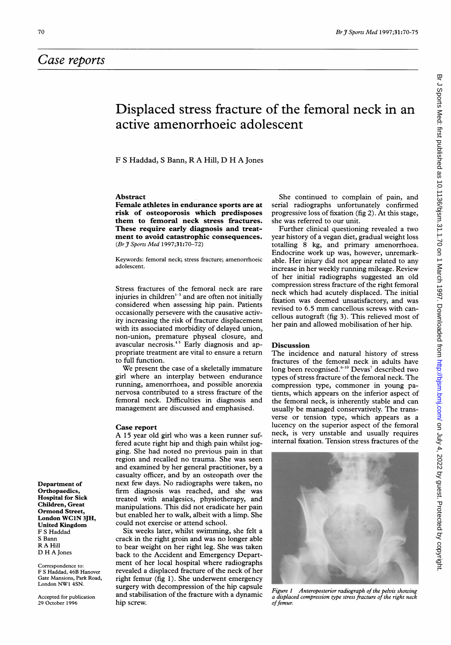## Displaced stress fracture of the femoral neck in an active amenorrhoeic adolescent

F <sup>S</sup> Haddad, <sup>S</sup> Bann, R A Hill, D H A Jones

#### Abstract

Female athletes in endurance sports are at risk of osteoporosis which predisposes them to femoral neck stress fractures. These require early diagnosis and treatment to avoid catastrophic consequences. (Br J Sports Med 1997;31:70-72)

Keywords: femoral neck; stress fracture; amenorrhoeic adolescent.

Stress fractures of the femoral neck are rare injuries in children $1-3$  and are often not initially considered when assessing hip pain. Patients occasionally persevere with the causative activity increasing the risk of fracture displacement with its associated morbidity of delayed union, non-union, premature physeal closure, and avascular necrosis.<sup>45</sup> Early diagnosis and appropriate treatment are vital to ensure a return to full function.

We present the case of <sup>a</sup> skeletally immature girl where an interplay between endurance running, amenorrhoea, and possible anorexia nervosa contributed to a stress fracture of the femoral neck. Difficulties in diagnosis and management are discussed and emphasised.

### Case report

A <sup>15</sup> year old girl who was <sup>a</sup> keen runner suffered acute right hip and thigh pain whilst jogging. She had noted no previous pain in that region and recalled no trauma. She was seen and examined by her general practitioner, by a casualty officer, and by an osteopath over the next few days. No radiographs were taken, no firm diagnosis was reached, and she was treated with analgesics, physiotherapy, and manipulations. This did not eradicate her pain but enabled her to walk, albeit with a limp. She could not exercise or attend school.

Six weeks later, whilst swimming, she felt a crack in the right groin and was no longer able to bear weight on her right leg. She was taken back to the Accident and Emergency Department of her local hospital where radiographs revealed a displaced fracture of the neck of her right femur (fig 1). She underwent emergency surgery with decompression of the hip capsule and stabilisation of the fracture with a dynamic hip screw.

She continued to complain of pain, and serial radiographs unfortunately confirmed progressive loss of fixation (fig 2). At this stage, she was referred to our unit.

Further clinical questioning revealed a two year history of a vegan diet, gradual weight loss totalling 8 kg, and primary amenorrhoea. Endocrine work up was, however, unremarkable. Her injury did not appear related to any increase in her weekly running mileage. Review of her initial radiographs suggested an old compression stress fracture of the right femoral neck which had acutely displaced. The initial fixation was deemed unsatisfactory, and was revised to 6.5 mm cancellous screws with cancellous autograft (fig 3). This relieved most of her pain and allowed mobilisation of her hip.

### Discussion

The incidence and natural history of stress fractures of the femoral neck in adults have long been recognised.<sup>6-10</sup> Devas<sup>7</sup> described two types of stress fracture of the femoral neck. The compression type, commoner in young patients, which appears on the inferior aspect of the femoral neck, is inherently stable and can usually be managed conservatively. The transverse or tension type, which appears as a lucency on the superior aspect of the femoral neck, is very unstable and usually requires internal fixation. Tension stress fractures of the



Figure <sup>1</sup> Anteroposterior radiograph of the pelvis showing a displaced compression type stress fracture of the right neck of femur.

Br J Sports Med: first published as 10.1136/bjsm.31.1.70 on 1 March 1997. Downloaded from http://bjsm.bmj.com/ on July 4, 2022 by guest. Protected by copyright Br J Sports Med: first published as 10.1136/bjsm.31.1.70 on 1 March 1997. Downloaded from <http://bjsm.bmj.com/> on July 4, 2022 by guest. Protected by copyright.

Department of Orthopaedics, Hospital for Sick Children, Great Ormond Street, London WC1N 3JH, United Kingdom F S Haddad S Bann R A Hill D H A Jones

Correspondence to: F S Haddad, 46B Hanover Gate Mansions, Park Road, London NW1 4SN.

Accepted for publication 29 October 1996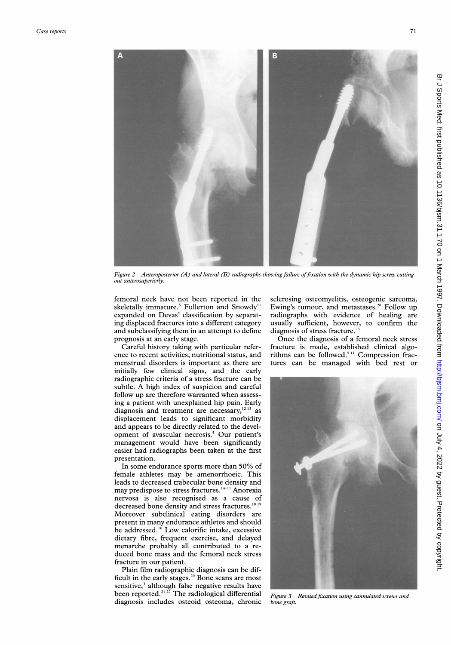

Figure 2 Anteroposterior (A) and lateral (B) radiographs showing failure of fixation with the dynamic hip screw cutting out anterosuperiorly.

femoral neck have not been reported in the skeletally immature.<sup>5</sup> Fullerton and Snowdy<sup>11</sup> expanded on Devas' classification by separating displaced fractures into a different category and subclassifying them in an attempt to define prognosis at an early stage.

Careful history taking with particular reference to recent activities, nutritional status, and menstrual disorders is important as there are initially few clinical signs, and the early radiographic criteria of a stress fracture can be subtle. A high index of suspicion and careful follow up are therefore warranted when assessing a patient with unexplained hip pain. Early diagnosis and treatment are necessary, $1213$  as displacement leads to significant morbidity and appears to be directly related to the development of avascular necrosis.4 Our patient's management would have been significantly easier had radiographs been taken at the first presentation.

In some endurance sports more than 50% of female athletes may be amenorrhoeic. This leads to decreased trabecular bone density and may predispose to stress fractures.<sup>14-17</sup> Anorexia nervosa is also recognised as a cause of decreased bone density and stress fractures.<sup>1819</sup> Moreover subclinical eating disorders are present in many endurance athletes and should be addressed.<sup>16</sup> Low calorific intake, excessive dietary fibre, frequent exercise, and delayed menarche probably all contributed to a reduced bone mass and the femoral neck stress fracture in our patient.

Plain film radiographic diagnosis can be difficult in the early stages.<sup>20</sup> Bone scans are most sensitive,<sup>3</sup> although false negative results have been reported.<sup>21,22</sup> The radiological differential diagnosis includes osteoid osteoma, chronic

sclerosing osteomyelitis, osteogenic sarcoma, Ewing's tumour, and metastases.<sup>20</sup> Follow up radiographs with evidence of healing are usually sufficient, however, to confirm the diagnosis of stress fracture.<sup>23</sup>

Once the diagnosis of a femoral neck stress fracture is made, established clinical algorithms can be followed.<sup>511</sup> Compression fractures can be managed with bed rest or



Figure 3 Revised fixation using cannulated screws and bone graft.